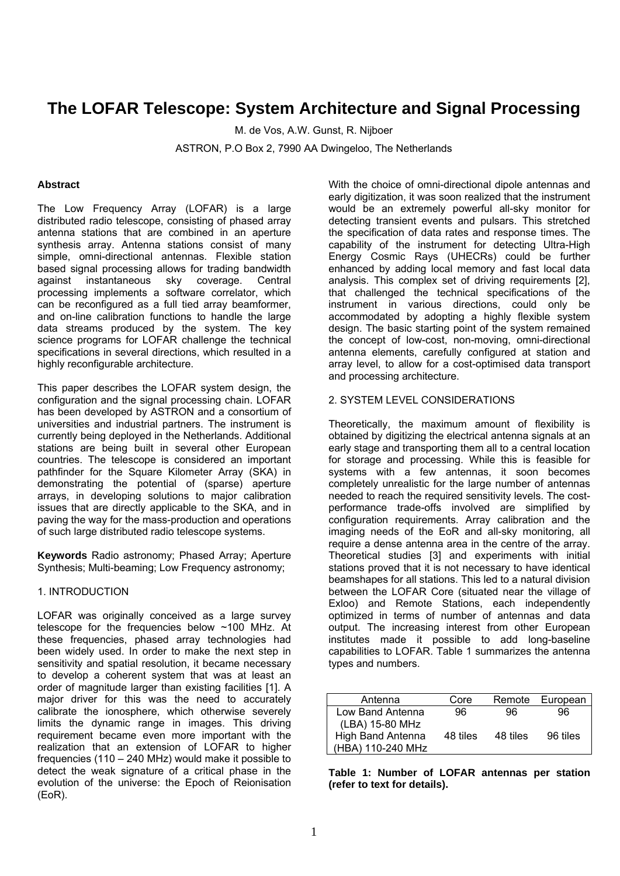# **The LOFAR Telescope: System Architecture and Signal Processing**

M. de Vos, A.W. Gunst, R. Nijboer ASTRON, P.O Box 2, 7990 AA Dwingeloo, The Netherlands

# **Abstract**

The Low Frequency Array (LOFAR) is a large distributed radio telescope, consisting of phased array antenna stations that are combined in an aperture synthesis array. Antenna stations consist of many simple, omni-directional antennas. Flexible station based signal processing allows for trading bandwidth against instantaneous sky coverage. Central processing implements a software correlator, which can be reconfigured as a full tied array beamformer, and on-line calibration functions to handle the large data streams produced by the system. The key science programs for LOFAR challenge the technical specifications in several directions, which resulted in a highly reconfigurable architecture.

This paper describes the LOFAR system design, the configuration and the signal processing chain. LOFAR has been developed by ASTRON and a consortium of universities and industrial partners. The instrument is currently being deployed in the Netherlands. Additional stations are being built in several other European countries. The telescope is considered an important pathfinder for the Square Kilometer Array (SKA) in demonstrating the potential of (sparse) aperture arrays, in developing solutions to major calibration issues that are directly applicable to the SKA, and in paving the way for the mass-production and operations of such large distributed radio telescope systems.

**Keywords** Radio astronomy; Phased Array; Aperture Synthesis: Multi-beaming: Low Frequency astronomy;

#### 1. INTRODUCTION

LOFAR was originally conceived as a large survey telescope for the frequencies below ~100 MHz. At these frequencies, phased array technologies had been widely used. In order to make the next step in sensitivity and spatial resolution, it became necessary to develop a coherent system that was at least an order of magnitude larger than existing facilities [1]. A major driver for this was the need to accurately calibrate the ionosphere, which otherwise severely limits the dynamic range in images. This driving requirement became even more important with the realization that an extension of LOFAR to higher frequencies (110 – 240 MHz) would make it possible to detect the weak signature of a critical phase in the evolution of the universe: the Epoch of Reionisation (EoR).

With the choice of omni-directional dipole antennas and early digitization, it was soon realized that the instrument would be an extremely powerful all-sky monitor for detecting transient events and pulsars. This stretched the specification of data rates and response times. The capability of the instrument for detecting Ultra-High Energy Cosmic Rays (UHECRs) could be further enhanced by adding local memory and fast local data analysis. This complex set of driving requirements [2], that challenged the technical specifications of the instrument in various directions, could only be accommodated by adopting a highly flexible system design. The basic starting point of the system remained the concept of low-cost, non-moving, omni-directional antenna elements, carefully configured at station and array level, to allow for a cost-optimised data transport and processing architecture.

# 2. SYSTEM LEVEL CONSIDERATIONS

Theoretically, the maximum amount of flexibility is obtained by digitizing the electrical antenna signals at an early stage and transporting them all to a central location for storage and processing. While this is feasible for systems with a few antennas, it soon becomes completely unrealistic for the large number of antennas needed to reach the required sensitivity levels. The costperformance trade-offs involved are simplified by configuration requirements. Array calibration and the imaging needs of the EoR and all-sky monitoring, all require a dense antenna area in the centre of the array. Theoretical studies [3] and experiments with initial stations proved that it is not necessary to have identical beamshapes for all stations. This led to a natural division between the LOFAR Core (situated near the village of Exloo) and Remote Stations, each independently optimized in terms of number of antennas and data output. The increasing interest from other European institutes made it possible to add long-baseline capabilities to LOFAR. Table 1 summarizes the antenna types and numbers.

| Antenna           | Core     |          | Remote European |
|-------------------|----------|----------|-----------------|
| Low Band Antenna  | 96       | 96       | 96              |
| (LBA) 15-80 MHz   |          |          |                 |
| High Band Antenna | 48 tiles | 48 tiles | 96 tiles        |
| (HBA) 110-240 MHz |          |          |                 |

**Table 1: Number of LOFAR antennas per station (refer to text for details).**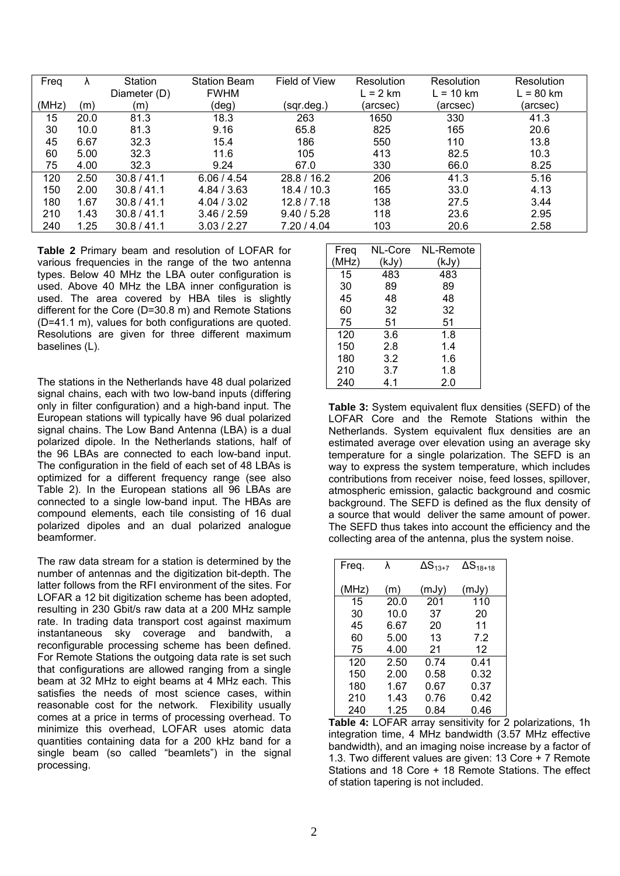| Freq  |      | Station      | <b>Station Beam</b> | Field of View | Resolution | Resolution  | Resolution  |
|-------|------|--------------|---------------------|---------------|------------|-------------|-------------|
|       |      | Diameter (D) | <b>FWHM</b>         |               | $L = 2$ km | $L = 10$ km | $L = 80$ km |
| (MHz) | (m)  | (m)          | (deg)               | (sqr.deg.)    | (arcsec)   | (arcsec)    | (arcsec)    |
| 15    | 20.0 | 81.3         | 18.3                | 263           | 1650       | 330         | 41.3        |
| 30    | 10.0 | 81.3         | 9.16                | 65.8          | 825        | 165         | 20.6        |
| 45    | 6.67 | 32.3         | 15.4                | 186           | 550        | 110         | 13.8        |
| 60    | 5.00 | 32.3         | 11.6                | 105           | 413        | 82.5        | 10.3        |
| 75    | 4.00 | 32.3         | 9.24                | 67.0          | 330        | 66.0        | 8.25        |
| 120   | 2.50 | 30.8 / 41.1  | 6.06 / 4.54         | 28.8 / 16.2   | 206        | 41.3        | 5.16        |
| 150   | 2.00 | 30.8 / 41.1  | 4.84 / 3.63         | 18.4 / 10.3   | 165        | 33.0        | 4.13        |
| 180   | 1.67 | 30.8 / 41.1  | 4.04 / 3.02         | 12.8 / 7.18   | 138        | 27.5        | 3.44        |
| 210   | 1.43 | 30.8 / 41.1  | 3.46 / 2.59         | 9.40 / 5.28   | 118        | 23.6        | 2.95        |
| 240   | 1.25 | 30.8 / 41.1  | 3.03 / 2.27         | 7.20 / 4.04   | 103        | 20.6        | 2.58        |

**Table 2** Primary beam and resolution of LOFAR for various frequencies in the range of the two antenna types. Below 40 MHz the LBA outer configuration is used. Above 40 MHz the LBA inner configuration is used. The area covered by HBA tiles is slightly different for the Core (D=30.8 m) and Remote Stations (D=41.1 m), values for both configurations are quoted. Resolutions are given for three different maximum baselines (L).

The stations in the Netherlands have 48 dual polarized signal chains, each with two low-band inputs (differing only in filter configuration) and a high-band input. The European stations will typically have 96 dual polarized signal chains. The Low Band Antenna (LBA) is a dual polarized dipole. In the Netherlands stations, half of the 96 LBAs are connected to each low-band input. The configuration in the field of each set of 48 LBAs is optimized for a different frequency range (see also Table 2). In the European stations all 96 LBAs are connected to a single low-band input. The HBAs are compound elements, each tile consisting of 16 dual polarized dipoles and an dual polarized analogue beamformer.

The raw data stream for a station is determined by the number of antennas and the digitization bit-depth. The latter follows from the RFI environment of the sites. For LOFAR a 12 bit digitization scheme has been adopted, resulting in 230 Gbit/s raw data at a 200 MHz sample rate. In trading data transport cost against maximum instantaneous sky coverage and bandwith, a reconfigurable processing scheme has been defined. For Remote Stations the outgoing data rate is set such that configurations are allowed ranging from a single beam at 32 MHz to eight beams at 4 MHz each. This satisfies the needs of most science cases, within reasonable cost for the network. Flexibility usually comes at a price in terms of processing overhead. To minimize this overhead, LOFAR uses atomic data quantities containing data for a 200 kHz band for a single beam (so called "beamlets") in the signal processing.

| Freq  | NL-Core | NL-Remote |
|-------|---------|-----------|
| (MHz) | (kJy)   | (kJy)     |
| 15    | 483     | 483       |
| 30    | 89      | 89        |
| 45    | 48      | 48        |
| 60    | 32      | 32        |
| 75    | 51      | 51        |
| 120   | 3.6     | 1.8       |
| 150   | 2.8     | 1.4       |
| 180   | 3.2     | 1.6       |
| 210   | 3.7     | 1.8       |
| 240   | 4.1     | 2.0       |

**Table 3:** System equivalent flux densities (SEFD) of the LOFAR Core and the Remote Stations within the Netherlands. System equivalent flux densities are an estimated average over elevation using an average sky temperature for a single polarization. The SEFD is an way to express the system temperature, which includes contributions from receiver noise, feed losses, spillover, atmospheric emission, galactic background and cosmic background. The SEFD is defined as the flux density of a source that would deliver the same amount of power. The SEFD thus takes into account the efficiency and the collecting area of the antenna, plus the system noise.

| Freq. | λ    | $\Delta S_{13+7}$ | $\Delta S_{18+18}$ |
|-------|------|-------------------|--------------------|
| (MHz) | (m)  | (mJy)             | (mJy)              |
| 15    | 20.0 | 201               | 110                |
| 30    | 10.0 | 37                | 20                 |
| 45    | 6.67 | 20                | 11                 |
| 60    | 5.00 | 13                | 7.2                |
| 75    | 4.00 | 21                | 12                 |
| 120   | 2.50 | 0.74              | 0.41               |
| 150   | 2.00 | 0.58              | 0.32               |
| 180   | 1.67 | 0.67              | 0.37               |
| 210   | 1.43 | 0.76              | 0.42               |
| 240   | 1.25 | 0.84              | 0.46               |

**Table 4:** LOFAR array sensitivity for 2 polarizations, 1h integration time, 4 MHz bandwidth (3.57 MHz effective bandwidth), and an imaging noise increase by a factor of 1.3. Two different values are given: 13 Core + 7 Remote Stations and 18 Core + 18 Remote Stations. The effect of station tapering is not included.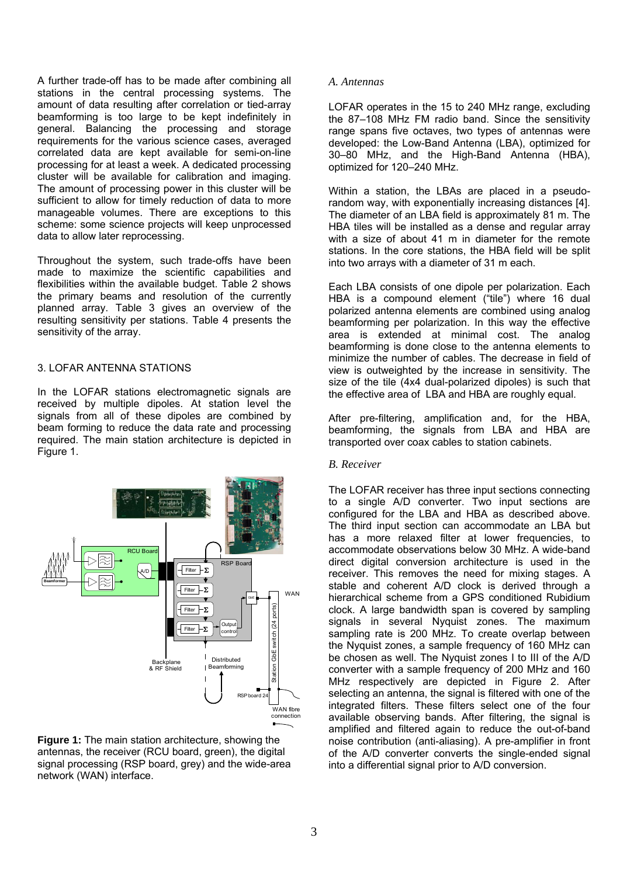A further trade-off has to be made after combining all stations in the central processing systems. The amount of data resulting after correlation or tied-array beamforming is too large to be kept indefinitely in general. Balancing the processing and storage requirements for the various science cases, averaged correlated data are kept available for semi-on-line processing for at least a week. A dedicated processing cluster will be available for calibration and imaging. The amount of processing power in this cluster will be sufficient to allow for timely reduction of data to more manageable volumes. There are exceptions to this scheme: some science projects will keep unprocessed data to allow later reprocessing.

Throughout the system, such trade-offs have been made to maximize the scientific capabilities and flexibilities within the available budget. Table 2 shows the primary beams and resolution of the currently planned array. Table 3 gives an overview of the resulting sensitivity per stations. Table 4 presents the sensitivity of the array.

# 3. LOFAR ANTENNA STATIONS

In the LOFAR stations electromagnetic signals are received by multiple dipoles. At station level the signals from all of these dipoles are combined by beam forming to reduce the data rate and processing required. The main station architecture is depicted in Figure 1.



**Figure 1:** The main station architecture, showing the antennas, the receiver (RCU board, green), the digital signal processing (RSP board, grey) and the wide-area network (WAN) interface.

#### *A. Antennas*

LOFAR operates in the 15 to 240 MHz range, excluding the 87–108 MHz FM radio band. Since the sensitivity range spans five octaves, two types of antennas were developed: the Low-Band Antenna (LBA), optimized for 30–80 MHz, and the High-Band Antenna (HBA), optimized for 120–240 MHz.

Within a station, the LBAs are placed in a pseudorandom way, with exponentially increasing distances [4]. The diameter of an LBA field is approximately 81 m. The HBA tiles will be installed as a dense and regular array with a size of about 41 m in diameter for the remote stations. In the core stations, the HBA field will be split into two arrays with a diameter of 31 m each.

Each LBA consists of one dipole per polarization. Each HBA is a compound element ("tile") where 16 dual polarized antenna elements are combined using analog beamforming per polarization. In this way the effective area is extended at minimal cost. The analog beamforming is done close to the antenna elements to minimize the number of cables. The decrease in field of view is outweighted by the increase in sensitivity. The size of the tile (4x4 dual-polarized dipoles) is such that the effective area of LBA and HBA are roughly equal.

After pre-filtering, amplification and, for the HBA, beamforming, the signals from LBA and HBA are transported over coax cables to station cabinets.

#### *B. Receiver*

The LOFAR receiver has three input sections connecting to a single A/D converter. Two input sections are configured for the LBA and HBA as described above. The third input section can accommodate an LBA but has a more relaxed filter at lower frequencies, to accommodate observations below 30 MHz. A wide-band direct digital conversion architecture is used in the receiver. This removes the need for mixing stages. A stable and coherent A/D clock is derived through a hierarchical scheme from a GPS conditioned Rubidium clock. A large bandwidth span is covered by sampling signals in several Nyquist zones. The maximum sampling rate is 200 MHz. To create overlap between the Nyquist zones, a sample frequency of 160 MHz can be chosen as well. The Nyquist zones I to III of the A/D converter with a sample frequency of 200 MHz and 160 MHz respectively are depicted in Figure 2. After selecting an antenna, the signal is filtered with one of the integrated filters. These filters select one of the four available observing bands. After filtering, the signal is amplified and filtered again to reduce the out-of-band noise contribution (anti-aliasing). A pre-amplifier in front of the A/D converter converts the single-ended signal into a differential signal prior to A/D conversion.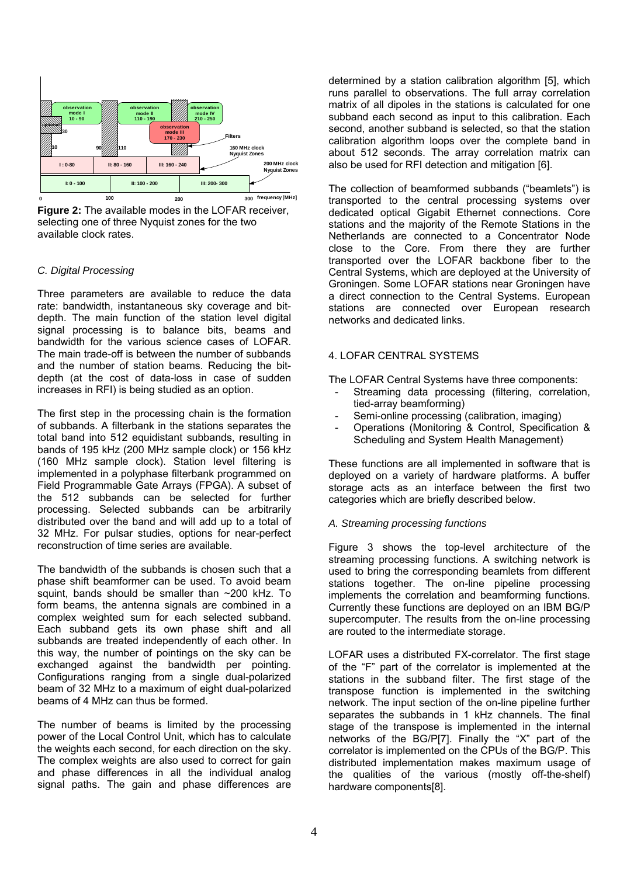

**Figure 2:** The available modes in the LOFAR receiver, selecting one of three Nyquist zones for the two available clock rates.

# *C. Digital Processing*

Three parameters are available to reduce the data rate: bandwidth, instantaneous sky coverage and bitdepth. The main function of the station level digital signal processing is to balance bits, beams and bandwidth for the various science cases of LOFAR. The main trade-off is between the number of subbands and the number of station beams. Reducing the bitdepth (at the cost of data-loss in case of sudden increases in RFI) is being studied as an option.

The first step in the processing chain is the formation of subbands. A filterbank in the stations separates the total band into 512 equidistant subbands, resulting in bands of 195 kHz (200 MHz sample clock) or 156 kHz (160 MHz sample clock). Station level filtering is implemented in a polyphase filterbank programmed on Field Programmable Gate Arrays (FPGA). A subset of the 512 subbands can be selected for further processing. Selected subbands can be arbitrarily distributed over the band and will add up to a total of 32 MHz. For pulsar studies, options for near-perfect reconstruction of time series are available.

The bandwidth of the subbands is chosen such that a phase shift beamformer can be used. To avoid beam squint, bands should be smaller than ~200 kHz. To form beams, the antenna signals are combined in a complex weighted sum for each selected subband. Each subband gets its own phase shift and all subbands are treated independently of each other. In this way, the number of pointings on the sky can be exchanged against the bandwidth per pointing. Configurations ranging from a single dual-polarized beam of 32 MHz to a maximum of eight dual-polarized beams of 4 MHz can thus be formed.

The number of beams is limited by the processing power of the Local Control Unit, which has to calculate the weights each second, for each direction on the sky. The complex weights are also used to correct for gain and phase differences in all the individual analog signal paths. The gain and phase differences are

determined by a station calibration algorithm [5], which runs parallel to observations. The full array correlation matrix of all dipoles in the stations is calculated for one subband each second as input to this calibration. Each second, another subband is selected, so that the station calibration algorithm loops over the complete band in about 512 seconds. The array correlation matrix can also be used for RFI detection and mitigation [6].

The collection of beamformed subbands ("beamlets") is transported to the central processing systems over dedicated optical Gigabit Ethernet connections. Core stations and the majority of the Remote Stations in the Netherlands are connected to a Concentrator Node close to the Core. From there they are further transported over the LOFAR backbone fiber to the Central Systems, which are deployed at the University of Groningen. Some LOFAR stations near Groningen have a direct connection to the Central Systems. European stations are connected over European research networks and dedicated links.

# 4. LOFAR CENTRAL SYSTEMS

The LOFAR Central Systems have three components:

- Streaming data processing (filtering, correlation, tied-array beamforming)
- Semi-online processing (calibration, imaging)
- Operations (Monitoring & Control, Specification & Scheduling and System Health Management)

These functions are all implemented in software that is deployed on a variety of hardware platforms. A buffer storage acts as an interface between the first two categories which are briefly described below.

# *A. Streaming processing functions*

Figure 3 shows the top-level architecture of the streaming processing functions. A switching network is used to bring the corresponding beamlets from different stations together. The on-line pipeline processing implements the correlation and beamforming functions. Currently these functions are deployed on an IBM BG/P supercomputer. The results from the on-line processing are routed to the intermediate storage.

LOFAR uses a distributed FX-correlator. The first stage of the "F" part of the correlator is implemented at the stations in the subband filter. The first stage of the transpose function is implemented in the switching network. The input section of the on-line pipeline further separates the subbands in 1 kHz channels. The final stage of the transpose is implemented in the internal networks of the BG/P[7]. Finally the "X" part of the correlator is implemented on the CPUs of the BG/P. This distributed implementation makes maximum usage of the qualities of the various (mostly off-the-shelf) hardware components[8].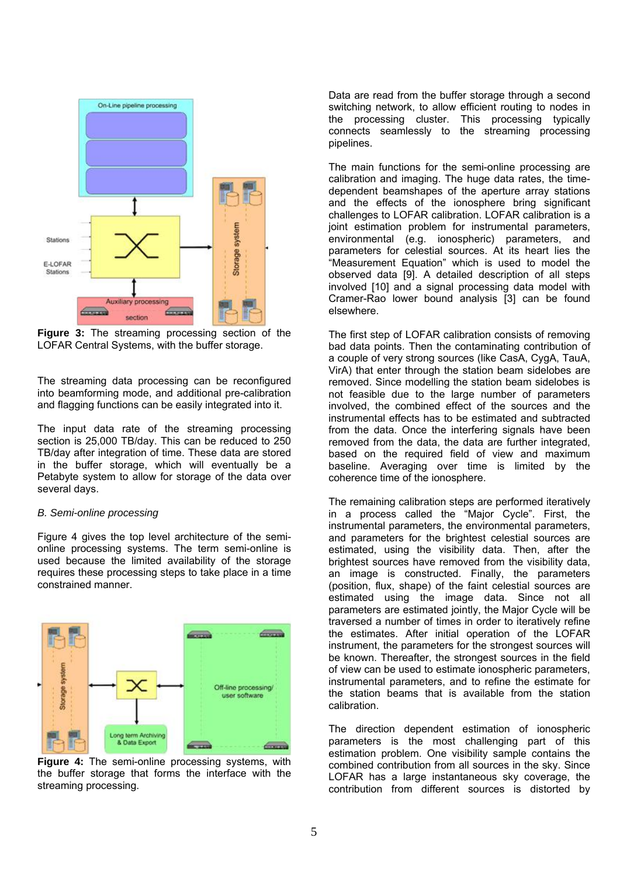

**Figure 3:** The streaming processing section of the LOFAR Central Systems, with the buffer storage.

The streaming data processing can be reconfigured into beamforming mode, and additional pre-calibration and flagging functions can be easily integrated into it.

The input data rate of the streaming processing section is 25,000 TB/day. This can be reduced to 250 TB/day after integration of time. These data are stored in the buffer storage, which will eventually be a Petabyte system to allow for storage of the data over several days.

#### *B. Semi-online processing*

Figure 4 gives the top level architecture of the semionline processing systems. The term semi-online is used because the limited availability of the storage requires these processing steps to take place in a time constrained manner.



**Figure 4:** The semi-online processing systems, with the buffer storage that forms the interface with the streaming processing.

Data are read from the buffer storage through a second switching network, to allow efficient routing to nodes in the processing cluster. This processing typically connects seamlessly to the streaming processing pipelines.

The main functions for the semi-online processing are calibration and imaging. The huge data rates, the timedependent beamshapes of the aperture array stations and the effects of the ionosphere bring significant challenges to LOFAR calibration. LOFAR calibration is a joint estimation problem for instrumental parameters. environmental (e.g. ionospheric) parameters, and parameters for celestial sources. At its heart lies the "Measurement Equation" which is used to model the observed data [9]. A detailed description of all steps involved [10] and a signal processing data model with Cramer-Rao lower bound analysis [3] can be found elsewhere.

The first step of LOFAR calibration consists of removing bad data points. Then the contaminating contribution of a couple of very strong sources (like CasA, CygA, TauA, VirA) that enter through the station beam sidelobes are removed. Since modelling the station beam sidelobes is not feasible due to the large number of parameters involved, the combined effect of the sources and the instrumental effects has to be estimated and subtracted from the data. Once the interfering signals have been removed from the data, the data are further integrated, based on the required field of view and maximum baseline. Averaging over time is limited by the coherence time of the ionosphere.

The remaining calibration steps are performed iteratively in a process called the "Major Cycle". First, the instrumental parameters, the environmental parameters, and parameters for the brightest celestial sources are estimated, using the visibility data. Then, after the brightest sources have removed from the visibility data, an image is constructed. Finally, the parameters (position, flux, shape) of the faint celestial sources are estimated using the image data. Since not all parameters are estimated jointly, the Major Cycle will be traversed a number of times in order to iteratively refine the estimates. After initial operation of the LOFAR instrument, the parameters for the strongest sources will be known. Thereafter, the strongest sources in the field of view can be used to estimate ionospheric parameters, instrumental parameters, and to refine the estimate for the station beams that is available from the station calibration.

The direction dependent estimation of ionospheric parameters is the most challenging part of this estimation problem. One visibility sample contains the combined contribution from all sources in the sky. Since LOFAR has a large instantaneous sky coverage, the contribution from different sources is distorted by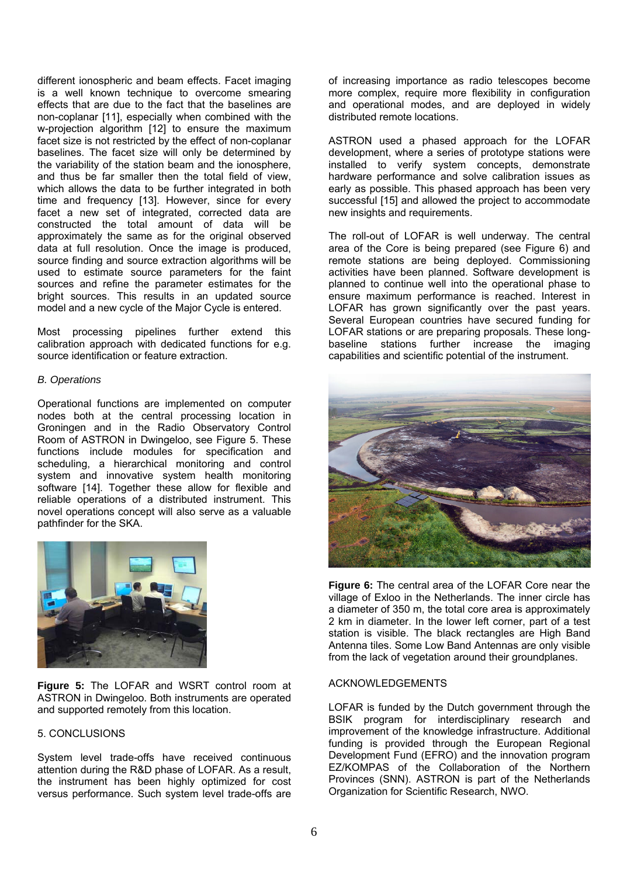different ionospheric and beam effects. Facet imaging is a well known technique to overcome smearing effects that are due to the fact that the baselines are non-coplanar [11], especially when combined with the w-projection algorithm [12] to ensure the maximum facet size is not restricted by the effect of non-coplanar baselines. The facet size will only be determined by the variability of the station beam and the ionosphere, and thus be far smaller then the total field of view, which allows the data to be further integrated in both time and frequency [13]. However, since for every facet a new set of integrated, corrected data are constructed the total amount of data will be approximately the same as for the original observed data at full resolution. Once the image is produced, source finding and source extraction algorithms will be used to estimate source parameters for the faint sources and refine the parameter estimates for the bright sources. This results in an updated source model and a new cycle of the Major Cycle is entered.

Most processing pipelines further extend this calibration approach with dedicated functions for e.g. source identification or feature extraction.

# *B. Operations*

Operational functions are implemented on computer nodes both at the central processing location in Groningen and in the Radio Observatory Control Room of ASTRON in Dwingeloo, see Figure 5. These functions include modules for specification and scheduling, a hierarchical monitoring and control system and innovative system health monitoring software [14]. Together these allow for flexible and reliable operations of a distributed instrument. This novel operations concept will also serve as a valuable pathfinder for the SKA.



**Figure 5:** The LOFAR and WSRT control room at ASTRON in Dwingeloo. Both instruments are operated and supported remotely from this location.

# 5. CONCLUSIONS

System level trade-offs have received continuous attention during the R&D phase of LOFAR. As a result, the instrument has been highly optimized for cost versus performance. Such system level trade-offs are of increasing importance as radio telescopes become more complex, require more flexibility in configuration and operational modes, and are deployed in widely distributed remote locations.

ASTRON used a phased approach for the LOFAR development, where a series of prototype stations were installed to verify system concepts, demonstrate hardware performance and solve calibration issues as early as possible. This phased approach has been very successful [15] and allowed the project to accommodate new insights and requirements.

The roll-out of LOFAR is well underway. The central area of the Core is being prepared (see Figure 6) and remote stations are being deployed. Commissioning activities have been planned. Software development is planned to continue well into the operational phase to ensure maximum performance is reached. Interest in LOFAR has grown significantly over the past years. Several European countries have secured funding for LOFAR stations or are preparing proposals. These longbaseline stations further increase the imaging capabilities and scientific potential of the instrument.



**Figure 6:** The central area of the LOFAR Core near the village of Exloo in the Netherlands. The inner circle has a diameter of 350 m, the total core area is approximately 2 km in diameter. In the lower left corner, part of a test station is visible. The black rectangles are High Band Antenna tiles. Some Low Band Antennas are only visible from the lack of vegetation around their groundplanes.

#### ACKNOWLEDGEMENTS

LOFAR is funded by the Dutch government through the BSIK program for interdisciplinary research and improvement of the knowledge infrastructure. Additional funding is provided through the European Regional Development Fund (EFRO) and the innovation program EZ/KOMPAS of the Collaboration of the Northern Provinces (SNN). ASTRON is part of the Netherlands Organization for Scientific Research, NWO.